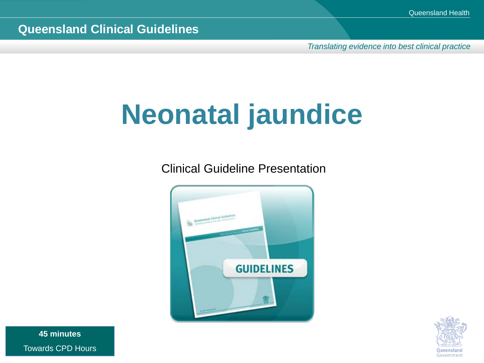*Translating evidence into best clinical practice*

# **Neonatal jaundice**

Clinical Guideline Presentation





**45 minutes** Towards CPD Hours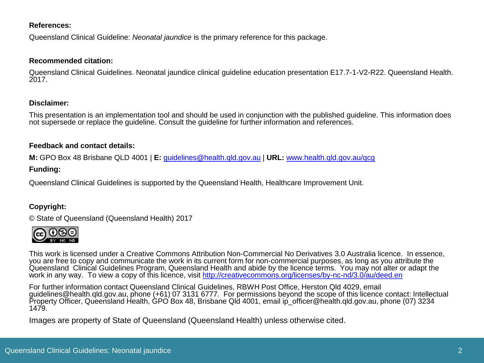#### **References:**

Queensland Clinical Guideline: *Neonatal jaundice* is the primary reference for this package.

#### **Recommended citation:**

Queensland Clinical Guidelines. Neonatal jaundice clinical guideline education presentation E17.7-1-V2-R22. Queensland Health. 2017.

### **Disclaimer:**

This presentation is an implementation tool and should be used in conjunction with the published guideline. This information does not supersede or replace the guideline. Consult the guideline for further information and references.

### **Feedback and contact details:**

**M:** GPO Box 48 Brisbane QLD 4001 | **E:** [guidelines@health.qld.gov.au](mailto:guidelines@health.qld.gov.au) | **URL:** [www.health.qld.gov.au/qcg](http://www.health.qld.gov.au/qcg)

### **Funding:**

Queensland Clinical Guidelines is supported by the Queensland Health, Healthcare Improvement Unit.

### **Copyright:**

© State of Queensland (Queensland Health) 2017



This work is licensed under a Creative Commons Attribution Non-Commercial No Derivatives 3.0 Australia licence. In essence, you are free to copy and communicate the work in its current form for non-commercial purposes, as long as you attribute the Queensland Clinical Guidelines Program, Queensland Health and abide by the licence terms. You may not alter or adapt the work in any way. To view a copy of this licence, visit<http://creativecommons.org/licenses/by-nc-nd/3.0/au/deed.en>

For further information contact Queensland Clinical Guidelines, RBWH Post Office, Herston Qld 4029, email guidelines@health.qld.gov.au, phone (+61) 07 3131 6777. For permissions beyond the scope of this licence contact: Intellectual Property Officer, Queensland Health, GPO Box 48, Brisbane Qld 4001, email ip\_officer@health.qld.gov.au, phone (07) 3234 1479.

Images are property of State of Queensland (Queensland Health) unless otherwise cited.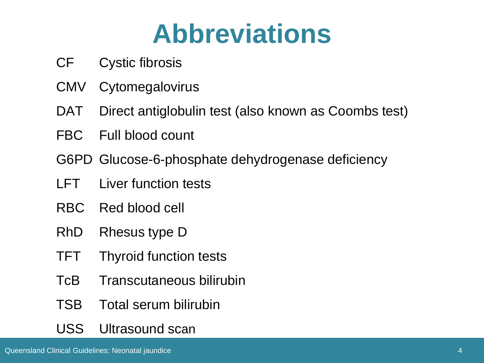# **Abbreviations**

- CF Cystic fibrosis
- CMV Cytomegalovirus
- DAT Direct antiglobulin test (also known as Coombs test)
- FBC Full blood count
- G6PD Glucose-6-phosphate dehydrogenase deficiency
- LFT Liver function tests
- RBC Red blood cell
- RhD Rhesus type D
- TFT Thyroid function tests
- TcB Transcutaneous bilirubin
- TSB Total serum bilirubin
- USS Ultrasound scan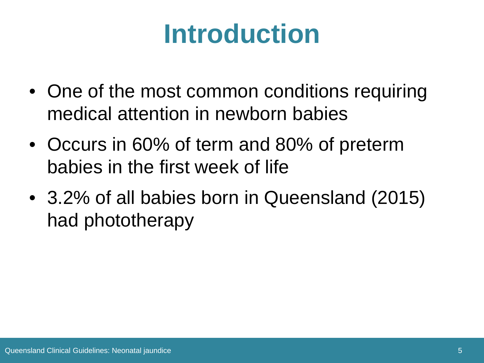# **Introduction**

- One of the most common conditions requiring medical attention in newborn babies
- Occurs in 60% of term and 80% of preterm babies in the first week of life
- 3.2% of all babies born in Queensland (2015) had phototherapy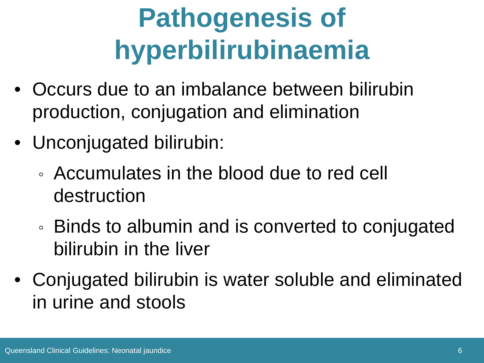# **Pathogenesis of hyperbilirubinaemia**

- Occurs due to an imbalance between bilirubin production, conjugation and elimination
- Unconjugated bilirubin:
	- Accumulates in the blood due to red cell destruction
	- Binds to albumin and is converted to conjugated bilirubin in the liver
- Conjugated bilirubin is water soluble and eliminated in urine and stools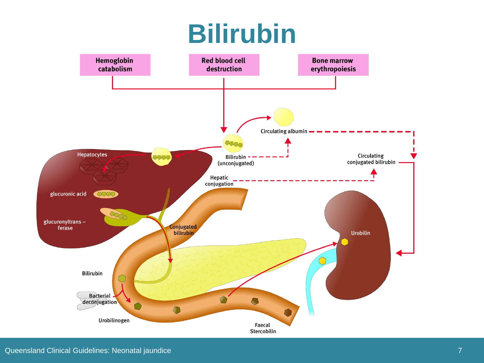# **Bilirubin**

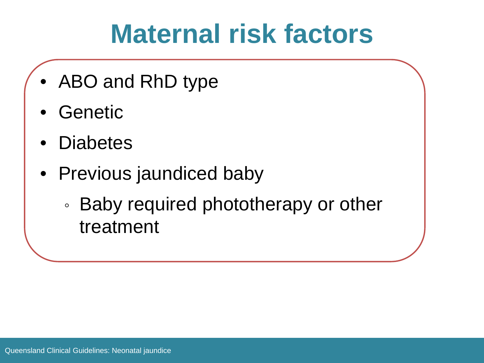# **Maternal risk factors**

- ABO and RhD type
- Genetic
- **Diabetes**
- Previous jaundiced baby
	- Baby required phototherapy or other treatment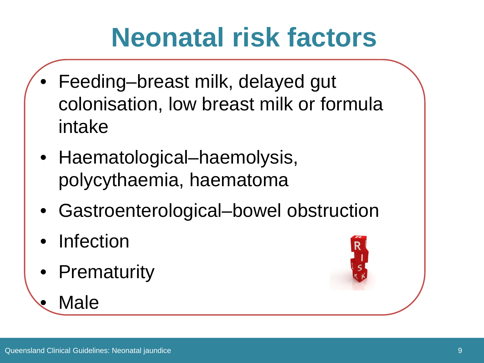# **Neonatal risk factors**

- Feeding–breast milk, delayed gut colonisation, low breast milk or formula intake
- Haematological–haemolysis, polycythaemia, haematoma
- Gastroenterological–bowel obstruction
- **Infection**
- Prematurity



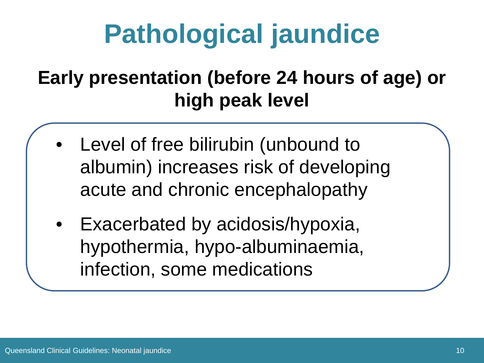# **Pathological jaundice**

## **Early presentation (before 24 hours of age) or high peak level**

- Level of free bilirubin (unbound to albumin) increases risk of developing acute and chronic encephalopathy
- Exacerbated by acidosis/hypoxia, hypothermia, hypo-albuminaemia, infection, some medications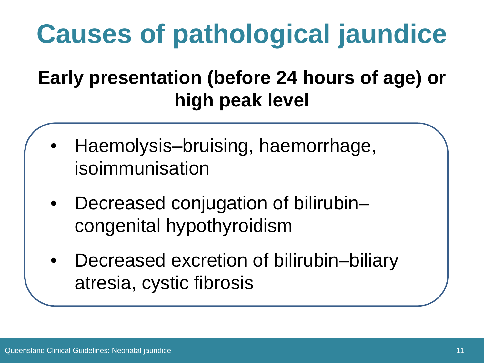# **Causes of pathological jaundice**

## **Early presentation (before 24 hours of age) or high peak level**

- Haemolysis–bruising, haemorrhage, isoimmunisation
- Decreased conjugation of bilirubin– congenital hypothyroidism
- Decreased excretion of bilirubin–biliary atresia, cystic fibrosis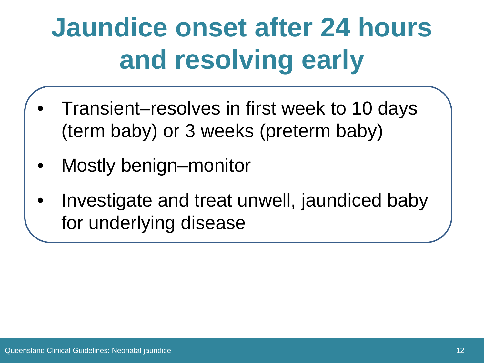# **Jaundice onset after 24 hours and resolving early**

- Transient–resolves in first week to 10 days (term baby) or 3 weeks (preterm baby)
- Mostly benign–monitor
- Investigate and treat unwell, jaundiced baby for underlying disease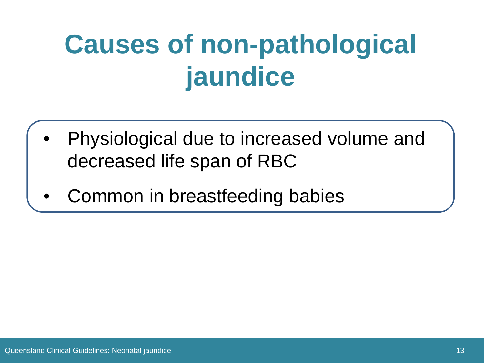# **Causes of non-pathological jaundice**

- Physiological due to increased volume and decreased life span of RBC
- Common in breastfeeding babies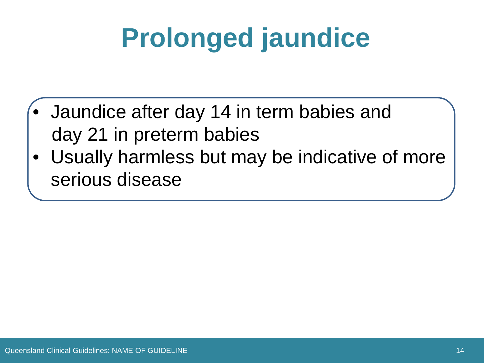# **Prolonged jaundice**

- Jaundice after day 14 in term babies and day 21 in preterm babies
- Usually harmless but may be indicative of more serious disease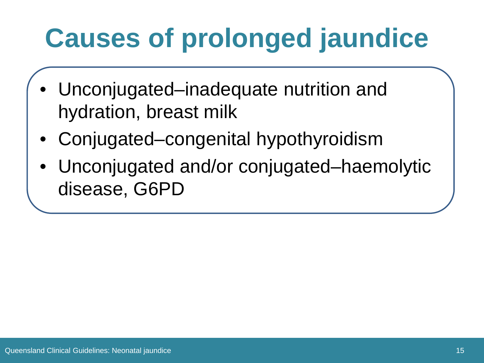# **Causes of prolonged jaundice**

- Unconjugated–inadequate nutrition and hydration, breast milk
- Conjugated–congenital hypothyroidism
- Unconjugated and/or conjugated–haemolytic disease, G6PD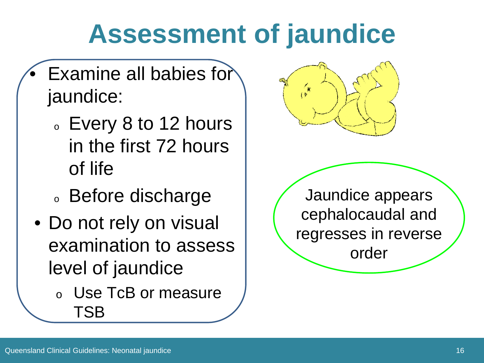## **Assessment of jaundice**

- Examine all babies for jaundice:
	- <sup>o</sup> Every 8 to 12 hours in the first 72 hours of life
	- <sup>o</sup> Before discharge
- Do not rely on visual examination to assess level of jaundice
	- <sup>o</sup> Use TcB or measure TSB



Jaundice appears cephalocaudal and regresses in reverse order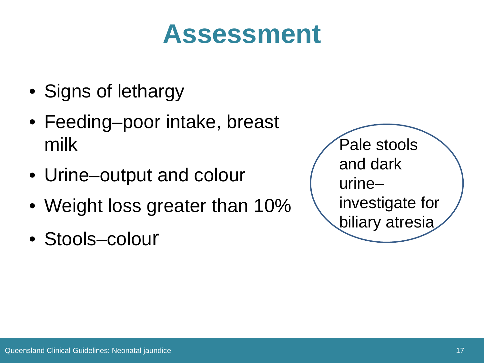## **Assessment**

- Signs of lethargy
- Feeding–poor intake, breast milk
- Urine–output and colour
- Weight loss greater than 10%
- Stools–colour

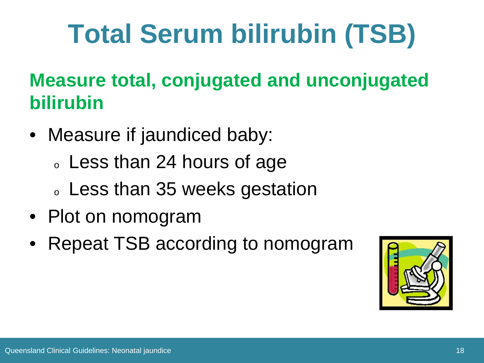# **Total Serum bilirubin (TSB)**

## **Measure total, conjugated and unconjugated bilirubin**

- Measure if jaundiced baby:
	- o Less than 24 hours of age
	- <sup>o</sup> Less than 35 weeks gestation
- Plot on nomogram
- Repeat TSB according to nomogram

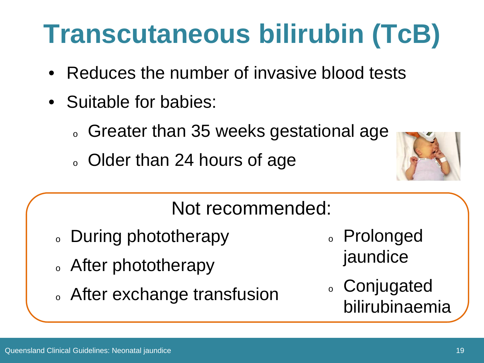# **Transcutaneous bilirubin (TcB)**

- Reduces the number of invasive blood tests
- Suitable for babies:
	- o Greater than 35 weeks gestational age
	- o Older than 24 hours of age



## Not recommended:

- During phototherapy
- o After phototherapy
- <sup>o</sup> After exchange transfusion
- <sup>o</sup> Prolonged jaundice
- <sup>o</sup> Conjugated bilirubinaemia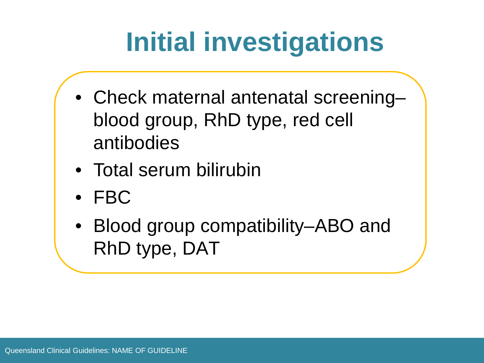# **Initial investigations**

- Check maternal antenatal screening– blood group, RhD type, red cell antibodies
- Total serum bilirubin
- FBC
- Blood group compatibility–ABO and RhD type, DAT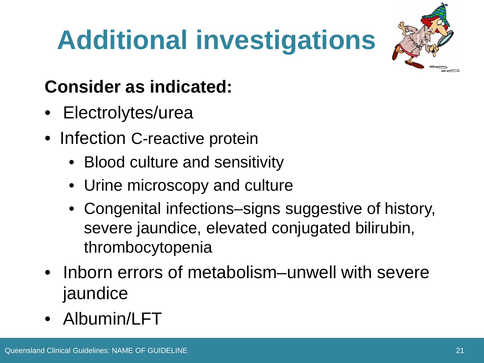# **Additional investigations**



### **Consider as indicated:**

- Electrolytes/urea
- Infection C-reactive protein
	- Blood culture and sensitivity
	- Urine microscopy and culture
	- Congenital infections–signs suggestive of history, severe jaundice, elevated conjugated bilirubin, thrombocytopenia
- Inborn errors of metabolism–unwell with severe jaundice
- Albumin/LFT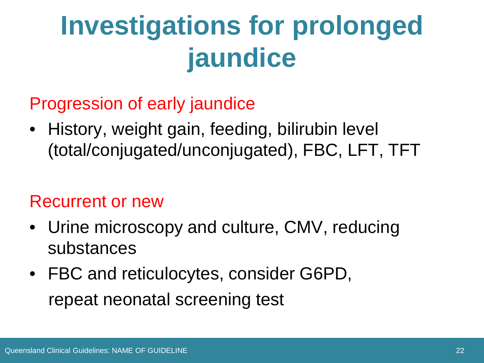# **Investigations for prolonged jaundice**

Progression of early jaundice

• History, weight gain, feeding, bilirubin level (total/conjugated/unconjugated), FBC, LFT, TFT

### Recurrent or new

- Urine microscopy and culture, CMV, reducing substances
- FBC and reticulocytes, consider G6PD, repeat neonatal screening test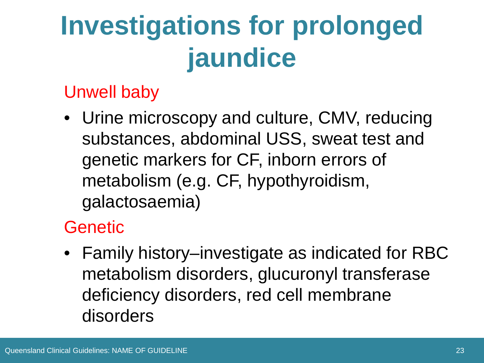# **Investigations for prolonged jaundice**

### Unwell baby

• Urine microscopy and culture, CMV, reducing substances, abdominal USS, sweat test and genetic markers for CF, inborn errors of metabolism (e.g. CF, hypothyroidism, galactosaemia)

### Genetic

• Family history–investigate as indicated for RBC metabolism disorders, glucuronyl transferase deficiency disorders, red cell membrane disorders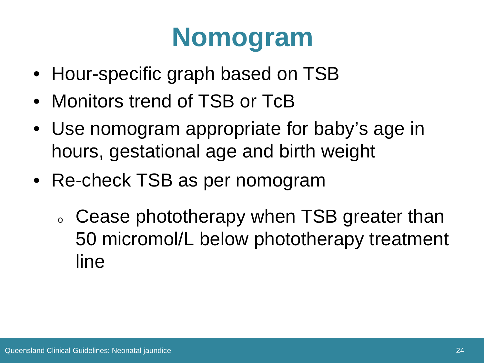# **Nomogram**

- Hour-specific graph based on TSB
- Monitors trend of TSB or TcB
- Use nomogram appropriate for baby's age in hours, gestational age and birth weight
- Re-check TSB as per nomogram
	- o Cease phototherapy when TSB greater than 50 micromol/L below phototherapy treatment line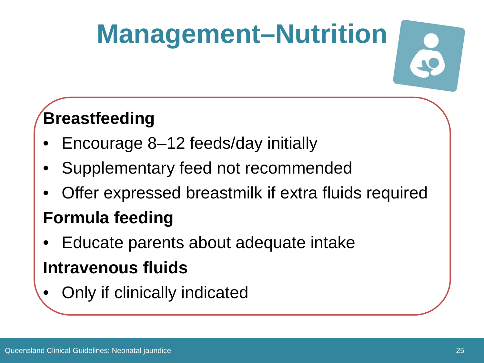# **Management–Nutrition**

### **Breastfeeding**

- Encourage 8–12 feeds/day initially
- Supplementary feed not recommended
- Offer expressed breastmilk if extra fluids required

### **Formula feeding**

- Educate parents about adequate intake **Intravenous fluids**
- Only if clinically indicated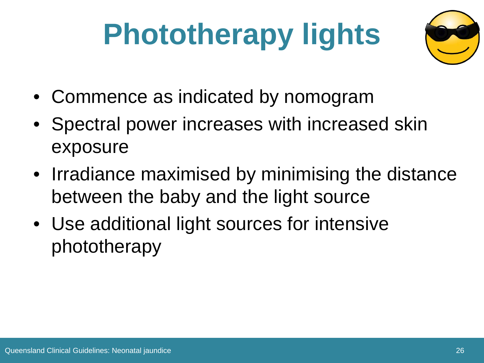# **Phototherapy lights**



- Commence as indicated by nomogram
- Spectral power increases with increased skin exposure
- Irradiance maximised by minimising the distance between the baby and the light source
- Use additional light sources for intensive phototherapy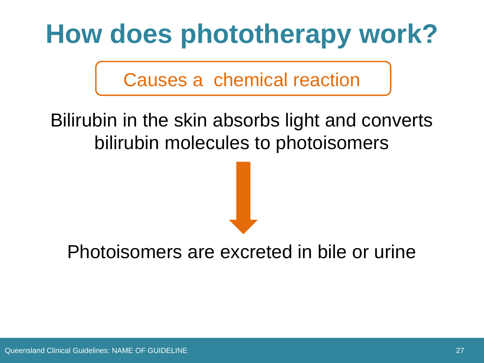# **How does phototherapy work?**

Causes a chemical reaction

### Bilirubin in the skin absorbs light and converts bilirubin molecules to photoisomers

### Photoisomers are excreted in bile or urine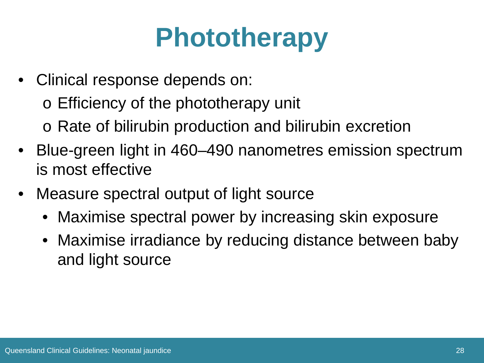# **Phototherapy**

- Clinical response depends on:
	- o Efficiency of the phototherapy unit
	- o Rate of bilirubin production and bilirubin excretion
- Blue-green light in 460–490 nanometres emission spectrum is most effective
- Measure spectral output of light source
	- Maximise spectral power by increasing skin exposure
	- Maximise irradiance by reducing distance between baby and light source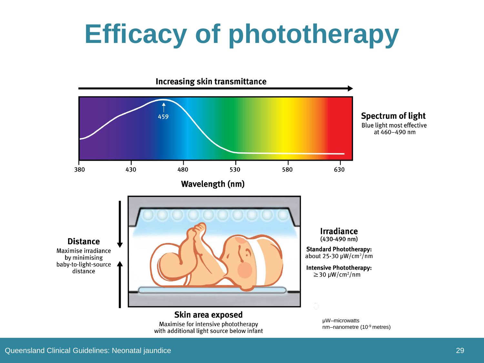# **Efficacy of phototherapy**

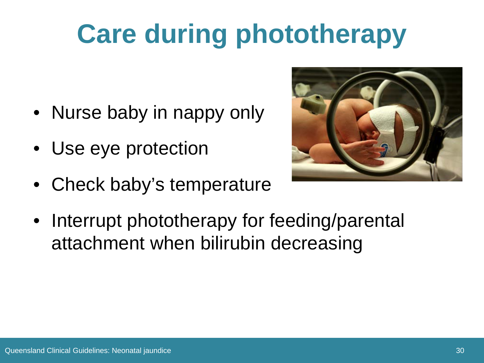# **Care during phototherapy**

- Nurse baby in nappy only
- Use eye protection
- Check baby's temperature



• Interrupt phototherapy for feeding/parental attachment when bilirubin decreasing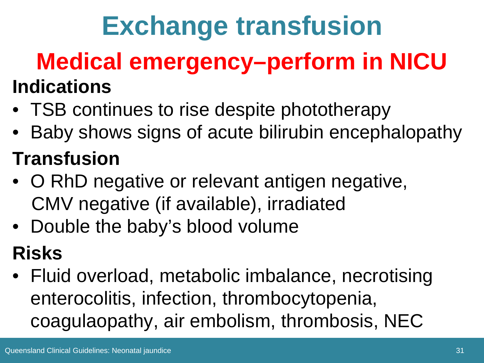# **Exchange transfusion**

# **Medical emergency–perform in NICU**

- **Indications**
- TSB continues to rise despite phototherapy
- Baby shows signs of acute bilirubin encephalopathy **Transfusion**
- O RhD negative or relevant antigen negative, CMV negative (if available), irradiated
- Double the baby's blood volume

## **Risks**

• Fluid overload, metabolic imbalance, necrotising enterocolitis, infection, thrombocytopenia, coagulaopathy, air embolism, thrombosis, NEC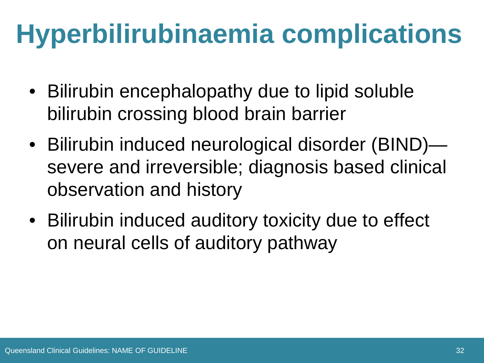# **Hyperbilirubinaemia complications**

- Bilirubin encephalopathy due to lipid soluble bilirubin crossing blood brain barrier
- Bilirubin induced neurological disorder (BIND) severe and irreversible; diagnosis based clinical observation and history
- Bilirubin induced auditory toxicity due to effect on neural cells of auditory pathway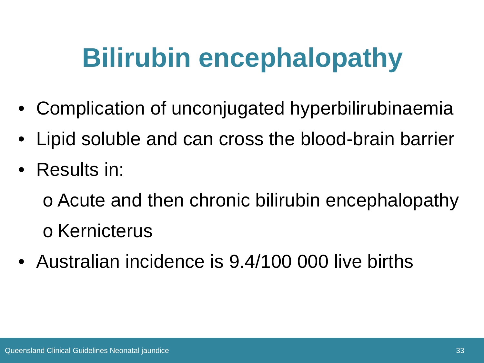# **Bilirubin encephalopathy**

- Complication of unconjugated hyperbilirubinaemia
- Lipid soluble and can cross the blood-brain barrier
- Results in:

o Acute and then chronic bilirubin encephalopathy o Kernicterus

• Australian incidence is 9.4/100 000 live births